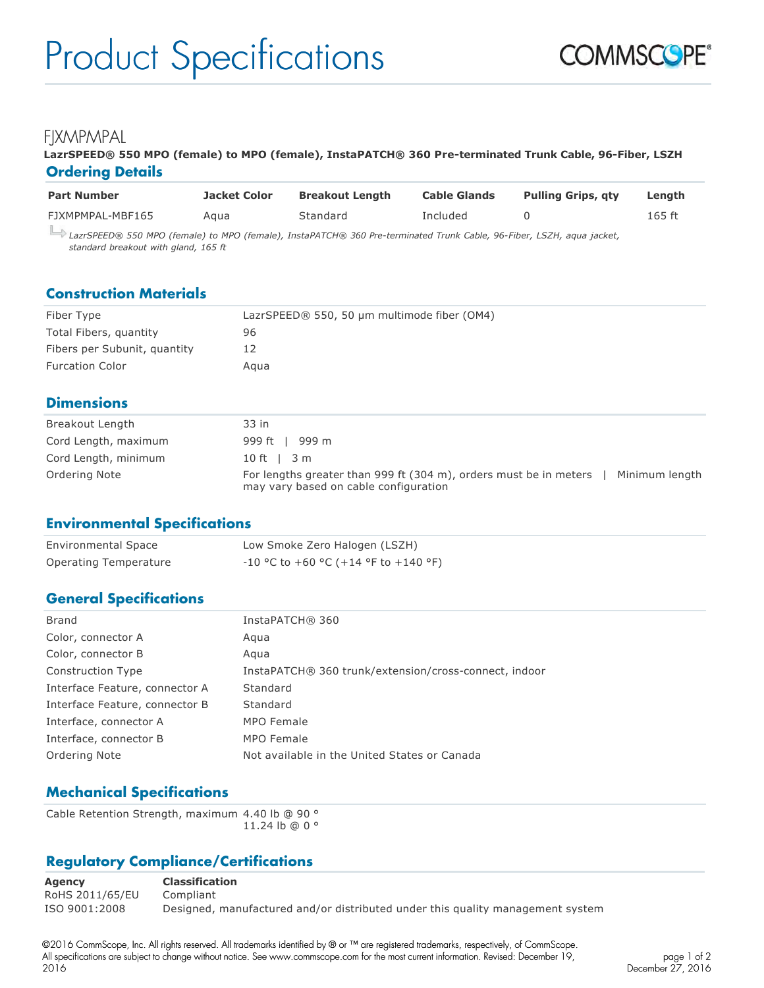## FIXMPMPAL

#### **LazrSPEED® 550 MPO (female) to MPO (female), InstaPATCH® 360 Pre-terminated Trunk Cable, 96-Fiber, LSZH Ordering Details**

| <b>Part Number</b>                                                                             | Jacket Color | <b>Breakout Length</b> | <b>Cable Glands</b> | <b>Pulling Grips, gty</b> | Length   |
|------------------------------------------------------------------------------------------------|--------------|------------------------|---------------------|---------------------------|----------|
| FJXMPMPAL-MBF165                                                                               | Agua         | Standard               | Included            |                           | $165$ ft |
| $\Box$ . Operacies and $\alpha$ is used $\alpha$ is the corresponded in the following $\alpha$ |              |                        |                     |                           |          |

*LazrSPEED® 550 MPO (female) to MPO (female), InstaPATCH® 360 Pre-terminated Trunk Cable, 96-Fiber, LSZH, aqua jacket, standard breakout with gland, 165 ft*

#### **Construction Materials**

| Fiber Type                   | LazrSPEED® 550, 50 µm multimode fiber (OM4) |
|------------------------------|---------------------------------------------|
| Total Fibers, quantity       | 96                                          |
| Fibers per Subunit, quantity | 12                                          |
| <b>Furcation Color</b>       | Aaua                                        |

### **Dimensions**

| Breakout Length      | 33 in                                                                                                                        |
|----------------------|------------------------------------------------------------------------------------------------------------------------------|
| Cord Length, maximum | 999 ft   999 m                                                                                                               |
| Cord Length, minimum | $10 \text{ ft}$   $3 \text{ m}$                                                                                              |
| Ordering Note        | For lengths greater than 999 ft (304 m), orders must be in meters<br>Minimum length<br>may vary based on cable configuration |

#### **Environmental Specifications**

| <b>Environmental Space</b> | Low Smoke Zero Halogen (LSZH)          |
|----------------------------|----------------------------------------|
| Operating Temperature      | $-10$ °C to +60 °C (+14 °F to +140 °F) |

## **General Specifications**

| Brand                          | InstaPATCH® 360                                       |
|--------------------------------|-------------------------------------------------------|
| Color, connector A             | Agua                                                  |
| Color, connector B             | Agua                                                  |
| Construction Type              | InstaPATCH® 360 trunk/extension/cross-connect, indoor |
| Interface Feature, connector A | Standard                                              |
| Interface Feature, connector B | Standard                                              |
| Interface, connector A         | MPO Female                                            |
| Interface, connector B         | MPO Female                                            |
| Ordering Note                  | Not available in the United States or Canada          |
|                                |                                                       |

## **Mechanical Specifications**

Cable Retention Strength, maximum 4.40 lb @ 90 ° 11.24 lb @ 0 °

## **Regulatory Compliance/Certifications**

**Agency Classification** RoHS 2011/65/EU Compliant ISO 9001:2008 Designed, manufactured and/or distributed under this quality management system

©2016 CommScope, Inc. All rights reserved. All trademarks identified by ® or ™ are registered trademarks, respectively, of CommScope. All specifications are subject to change without notice. See www.commscope.com for the most current information. Revised: December 19, 2016